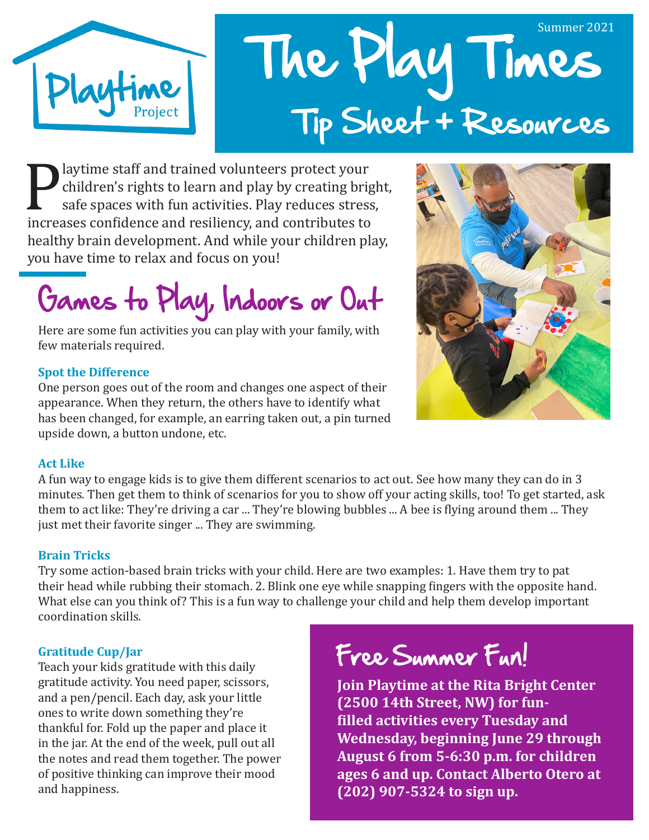

# The Play Times Summer 2021 Tip Sheet + Resources

**Playtime staff and trained volunteers protect your children's rights to learn and play by creating brig safe spaces with fun activities. Play reduces stress increases confidence and resiliency, and contributes to healthy** children's rights to learn and play by creating bright, safe spaces with fun activities. Play reduces stress, healthy brain development. And while your children play, you have time to relax and focus on you!

Games to Play, Indoors or Out

Here are some fun activities you can play with your family, with few materials required.

#### **Spot the Difference**

One person goes out of the room and changes one aspect of their appearance. When they return, the others have to identify what has been changed, for example, an earring taken out, a pin turned upside down, a button undone, etc.



#### **Act Like**

A fun way to engage kids is to give them different scenarios to act out. See how many they can do in 3 minutes. Then get them to think of scenarios for you to show off your acting skills, too! To get started, ask them to act like: They're driving a car ... They're blowing bubbles ... A bee is flying around them ... They just met their favorite singer ... They are swimming.

#### **Brain Tricks**

Try some action-based brain tricks with your child. Here are two examples: 1. Have them try to pat their head while rubbing their stomach. 2. Blink one eye while snapping fingers with the opposite hand. What else can you think of? This is a fun way to challenge your child and help them develop important coordination skills.

#### **Gratitude Cup/Jar**

Teach your kids gratitude with this daily gratitude activity. You need paper, scissors, and a pen/pencil. Each day, ask your little ones to write down something they're thankful for. Fold up the paper and place it in the jar. At the end of the week, pull out all the notes and read them together. The power of positive thinking can improve their mood and happiness.

# Free Summer Fun!

**Join Playtime at the Rita Bright Center (2500 14th Street, NW) for funfilled activities every Tuesday and Wednesday, beginning June 29 through August 6 from 5-6:30 p.m. for children ages 6 and up. Contact Alberto Otero at (202) 907-5324 to sign up.**